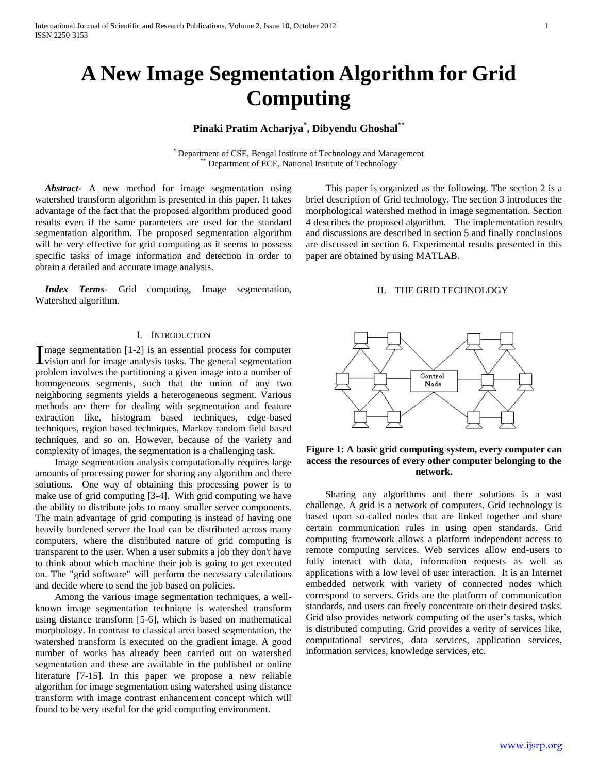# **A New Image Segmentation Algorithm for Grid Computing**

## **Pinaki Pratim Acharjya\* , Dibyendu Ghoshal\*\***

\* Department of CSE, Bengal Institute of Technology and Management Department of ECE, National Institute of Technology

 *Abstract***-** A new method for image segmentation using watershed transform algorithm is presented in this paper. It takes advantage of the fact that the proposed algorithm produced good results even if the same parameters are used for the standard segmentation algorithm. The proposed segmentation algorithm will be very effective for grid computing as it seems to possess specific tasks of image information and detection in order to obtain a detailed and accurate image analysis.

 *Index Terms*- Grid computing, Image segmentation, Watershed algorithm.

#### I. INTRODUCTION

 $\mathbf{T}$  mage segmentation [1-2] is an essential process for computer I mage segmentation [1-2] is an essential process for computer<br>vision and for image analysis tasks. The general segmentation problem involves the partitioning a given image into a number of homogeneous segments, such that the union of any two neighboring segments yields a heterogeneous segment. Various methods are there for dealing with segmentation and feature extraction like, histogram based techniques, edge-based techniques, region based techniques, Markov random field based techniques, and so on. However, because of the variety and complexity of images, the segmentation is a challenging task.

 Image segmentation analysis computationally requires large amounts of processing power for sharing any algorithm and there solutions. One way of obtaining this processing power is to make use of grid computing [3-4]. With grid computing we have the ability to distribute jobs to many smaller server components. The main advantage of grid computing is instead of having one heavily burdened server the load can be distributed across many computers, where the distributed nature of grid computing is transparent to the user. When a user submits a job they don't have to think about which machine their job is going to get executed on. The "grid software" will perform the necessary calculations and decide where to send the job based on policies.

 Among the various image segmentation techniques, a wellknown image segmentation technique is watershed transform using distance transform [5-6], which is based on mathematical morphology. In contrast to classical area based segmentation, the watershed transform is executed on the gradient image. A good number of works has already been carried out on watershed segmentation and these are available in the published or online literature [7-15]. In this paper we propose a new reliable algorithm for image segmentation using watershed using distance transform with image contrast enhancement concept which will found to be very useful for the grid computing environment.

 This paper is organized as the following. The section 2 is a brief description of Grid technology. The section 3 introduces the morphological watershed method in image segmentation. Section 4 describes the proposed algorithm. The implementation results and discussions are described in section 5 and finally conclusions are discussed in section 6. Experimental results presented in this paper are obtained by using MATLAB.

## II. THE GRID TECHNOLOGY



## **Figure 1: A basic grid computing system, every computer can access the resources of every other computer belonging to the network.**

 Sharing any algorithms and there solutions is a vast challenge. A grid is a network of computers. Grid technology is based upon so-called nodes that are linked together and share certain communication rules in using open standards. Grid computing framework allows a platform independent access to remote computing services. Web services allow end-users to fully interact with data, information requests as well as applications with a low level of user interaction. It is an Internet embedded network with variety of connected nodes which correspond to servers. Grids are the platform of communication standards, and users can freely concentrate on their desired tasks. Grid also provides network computing of the user's tasks, which is distributed computing. Grid provides a verity of services like, computational services, data services, application services, information services, knowledge services, etc.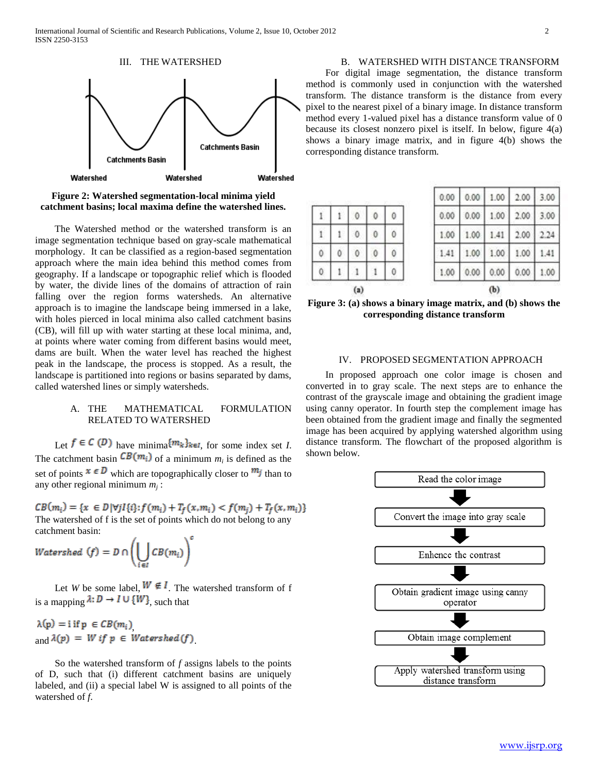

**Figure 2: Watershed segmentation-local minima yield catchment basins; local maxima define the watershed lines.**

 The Watershed method or the watershed transform is an image segmentation technique based on gray-scale mathematical morphology. It can be classified as a region-based segmentation approach where the main idea behind this method comes from geography. If a landscape or topographic relief which is flooded by water, the divide lines of the domains of attraction of rain falling over the region forms watersheds. An alternative approach is to imagine the landscape being immersed in a lake, with holes pierced in local minima also called catchment basins (CB), will fill up with water starting at these local minima, and, at points where water coming from different basins would meet, dams are built. When the water level has reached the highest peak in the landscape, the process is stopped. As a result, the landscape is partitioned into regions or basins separated by dams, called watershed lines or simply watersheds.

#### A. THE MATHEMATICAL FORMULATION RELATED TO WATERSHED

Let  $f \in C(D)$  have minima  $\{m_k\}_{k \in I}$ , for some index set *I*. The catchment basin  $\mathcal{L}(\mathcal{M}_i)$  of a minimum  $m_i$  is defined as the set of points  $x \in D$  which are topographically closer to  $m_j$  than to any other regional minimum *m<sup>j</sup>* :

 $CB(m_i) = \{x \in D | \forall j I \{i\}: f(m_i) + T_f(x, m_i) < f(m_i) + T_f(x, m_i)\}\$ The watershed of f is the set of points which do not belong to any catchment basin:

Watershed  $(f) = D \cap \left(\bigcup_{i} CB(m_i)\right)^c$ 

Let *W* be some label,  $W \notin I$ . The watershed transform of f is a mapping  $\lambda: D \to I \cup \{W\}$ , such that

 $\lambda(p) = i$  if  $p \in CB(m_i)$ and  $\lambda(p) = W$  if  $p \in W$ atershed  $(f)$ 

 So the watershed transform of *f* assigns labels to the points of D, such that (i) different catchment basins are uniquely labeled, and (ii) a special label W is assigned to all points of the watershed of *f*.

B. WATERSHED WITH DISTANCE TRANSFORM For digital image segmentation, the distance transform method is commonly used in conjunction with the watershed transform. The distance transform is the distance from every pixel to the nearest pixel of a binary image. In distance transform method every 1-valued pixel has a distance transform value of 0 because its closest nonzero pixel is itself. In below, figure 4(a) shows a binary image matrix, and in figure 4(b) shows the corresponding distance transform.

|      |      | 7L V |      |      |
|------|------|------|------|------|
| .00  | 0.00 | 0.00 | 0.00 |      |
| 41   | 1.00 | 1.00 | 1.00 | 1.41 |
| .00  |      |      | 2.00 |      |
| 0.00 | 0.00 | 1.00 | 2.00 | 3.00 |
| 0.00 | 0.00 | 1.00 | 2.00 | 3.00 |
|      |      |      |      |      |

**Figure 3: (a) shows a binary image matrix, and (b) shows the corresponding distance transform**

#### IV. PROPOSED SEGMENTATION APPROACH

 In proposed approach one color image is chosen and converted in to gray scale. The next steps are to enhance the contrast of the grayscale image and obtaining the gradient image using canny operator. In fourth step the complement image has been obtained from the gradient image and finally the segmented image has been acquired by applying watershed algorithm using distance transform. The flowchart of the proposed algorithm is shown below.

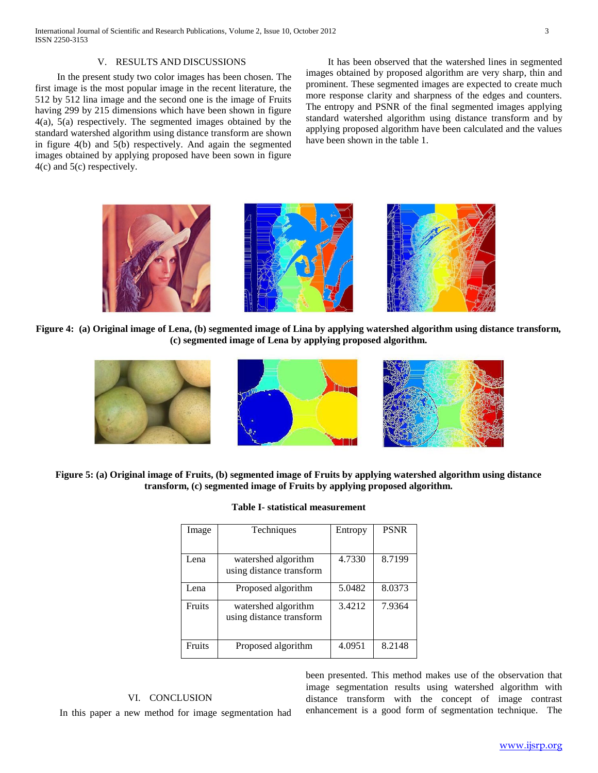#### V. RESULTS AND DISCUSSIONS

 In the present study two color images has been chosen. The first image is the most popular image in the recent literature, the 512 by 512 lina image and the second one is the image of Fruits having 299 by 215 dimensions which have been shown in figure 4(a), 5(a) respectively. The segmented images obtained by the standard watershed algorithm using distance transform are shown in figure 4(b) and 5(b) respectively. And again the segmented images obtained by applying proposed have been sown in figure 4(c) and 5(c) respectively.

 It has been observed that the watershed lines in segmented images obtained by proposed algorithm are very sharp, thin and prominent. These segmented images are expected to create much more response clarity and sharpness of the edges and counters. The entropy and PSNR of the final segmented images applying standard watershed algorithm using distance transform and by applying proposed algorithm have been calculated and the values have been shown in the table 1.



**Figure 4: (a) Original image of Lena, (b) segmented image of Lina by applying watershed algorithm using distance transform, (c) segmented image of Lena by applying proposed algorithm.**



**Figure 5: (a) Original image of Fruits, (b) segmented image of Fruits by applying watershed algorithm using distance transform, (c) segmented image of Fruits by applying proposed algorithm.**

#### **Table I- statistical measurement**

| Image  | Techniques                                      | Entropy | <b>PSNR</b> |
|--------|-------------------------------------------------|---------|-------------|
|        |                                                 |         |             |
| Lena   | watershed algorithm<br>using distance transform | 4.7330  | 8.7199      |
| Lena   | Proposed algorithm                              | 5.0482  | 8.0373      |
| Fruits | watershed algorithm<br>using distance transform | 3.4212  | 7.9364      |
| Fruits | Proposed algorithm                              | 4.0951  | 8.2148      |

### VI. CONCLUSION

In this paper a new method for image segmentation had

been presented. This method makes use of the observation that image segmentation results using watershed algorithm with distance transform with the concept of image contrast enhancement is a good form of segmentation technique. The